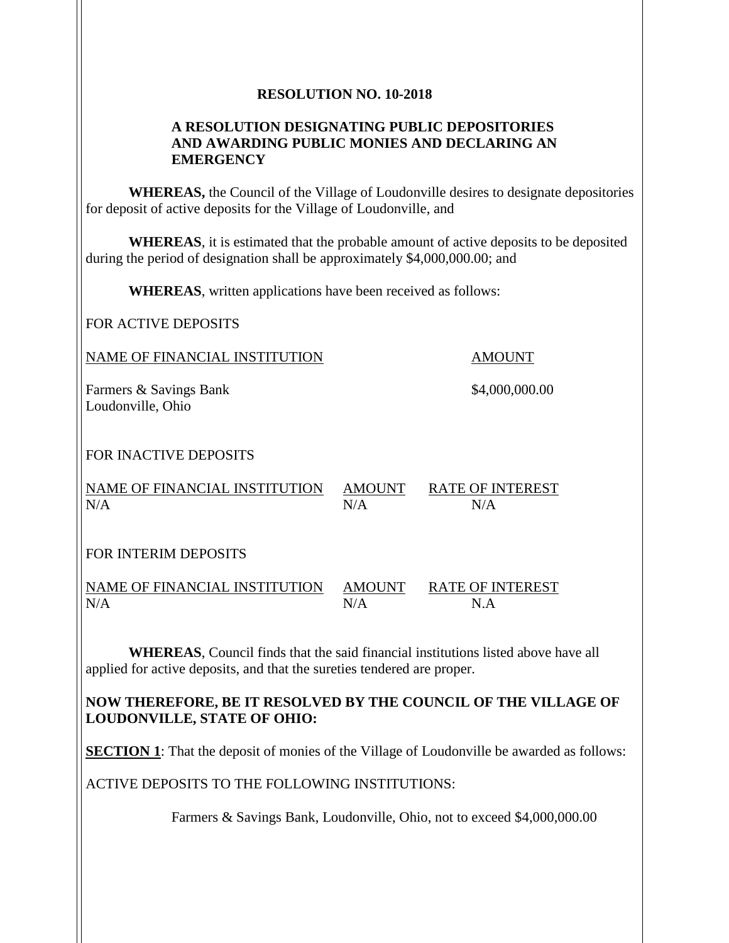### **RESOLUTION NO. 10-2018**

### **A RESOLUTION DESIGNATING PUBLIC DEPOSITORIES AND AWARDING PUBLIC MONIES AND DECLARING AN EMERGENCY**

**WHEREAS,** the Council of the Village of Loudonville desires to designate depositories for deposit of active deposits for the Village of Loudonville, and

**WHEREAS**, it is estimated that the probable amount of active deposits to be deposited during the period of designation shall be approximately \$4,000,000.00; and

**WHEREAS**, written applications have been received as follows:

FOR ACTIVE DEPOSITS

NAME OF FINANCIAL INSTITUTION AMOUNT

Farmers & Savings Bank  $$4,000,000.00$ Loudonville, Ohio

# FOR INACTIVE DEPOSITS

NAME OF FINANCIAL INSTITUTION AMOUNT RATE OF INTEREST  $N/A$   $N/A$   $N/A$ 

FOR INTERIM DEPOSITS

NAME OF FINANCIAL INSTITUTION AMOUNT RATE OF INTEREST  $N/A$   $N/A$   $N.A$ 

**WHEREAS**, Council finds that the said financial institutions listed above have all applied for active deposits, and that the sureties tendered are proper.

# **NOW THEREFORE, BE IT RESOLVED BY THE COUNCIL OF THE VILLAGE OF LOUDONVILLE, STATE OF OHIO:**

**SECTION 1**: That the deposit of monies of the Village of Loudonville be awarded as follows:

ACTIVE DEPOSITS TO THE FOLLOWING INSTITUTIONS:

Farmers & Savings Bank, Loudonville, Ohio, not to exceed \$4,000,000.00